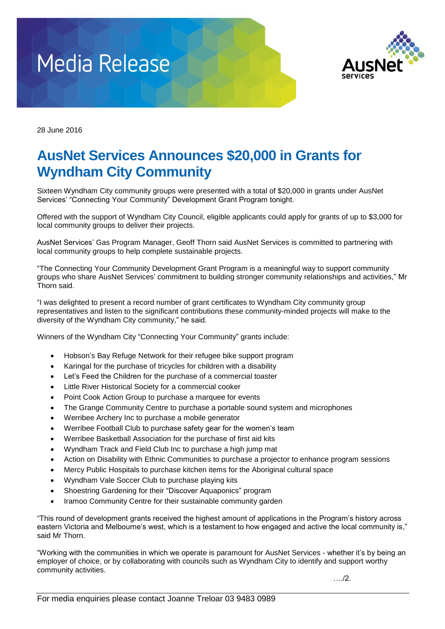



28 June 2016

## **AusNet Services Announces \$20,000 in Grants for Wyndham City Community**

Sixteen Wyndham City community groups were presented with a total of \$20,000 in grants under AusNet Services' "Connecting Your Community" Development Grant Program tonight.

Offered with the support of Wyndham City Council, eligible applicants could apply for grants of up to \$3,000 for local community groups to deliver their projects.

AusNet Services' Gas Program Manager, Geoff Thorn said AusNet Services is committed to partnering with local community groups to help complete sustainable projects.

"The Connecting Your Community Development Grant Program is a meaningful way to support community groups who share AusNet Services' commitment to building stronger community relationships and activities," Mr Thorn said.

"I was delighted to present a record number of grant certificates to Wyndham City community group representatives and listen to the significant contributions these community-minded projects will make to the diversity of the Wyndham City community," he said.

Winners of the Wyndham City "Connecting Your Community" grants include:

- Hobson's Bay Refuge Network for their refugee bike support program
- Karingal for the purchase of tricycles for children with a disability
- Let's Feed the Children for the purchase of a commercial toaster
- Little River Historical Society for a commercial cooker
- Point Cook Action Group to purchase a marquee for events
- The Grange Community Centre to purchase a portable sound system and microphones
- Werribee Archery Inc to purchase a mobile generator
- Werribee Football Club to purchase safety gear for the women's team
- Werribee Basketball Association for the purchase of first aid kits
- Wyndham Track and Field Club Inc to purchase a high jump mat
- Action on Disability with Ethnic Communities to purchase a projector to enhance program sessions
- Mercy Public Hospitals to purchase kitchen items for the Aboriginal cultural space
- Wyndham Vale Soccer Club to purchase playing kits
- Shoestring Gardening for their "Discover Aquaponics" program
- Iramoo Community Centre for their sustainable community garden

"This round of development grants received the highest amount of applications in the Program's history across eastern Victoria and Melbourne's west, which is a testament to how engaged and active the local community is," said Mr Thorn.

"Working with the communities in which we operate is paramount for AusNet Services - whether it's by being an employer of choice, or by collaborating with councils such as Wyndham City to identify and support worthy community activities.